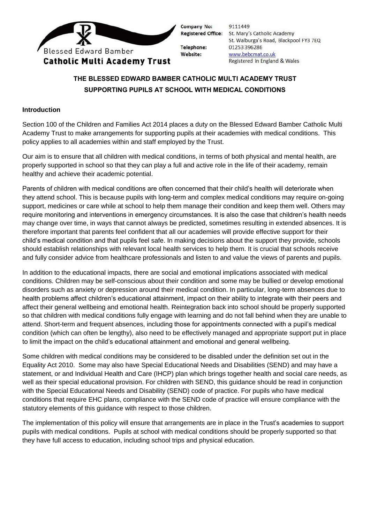

Company No:

Telephone: Website:

9111449 Registered Office: St. Mary's Catholic Academy St. Walburga's Road, Blackpool FY3 7EQ 01253 396286 www.bebcmat.co.uk Registered in England & Wales

# **THE BLESSED EDWARD BAMBER CATHOLIC MULTI ACADEMY TRUST SUPPORTING PUPILS AT SCHOOL WITH MEDICAL CONDITIONS**

# **Introduction**

Section 100 of the Children and Families Act 2014 places a duty on the Blessed Edward Bamber Catholic Multi Academy Trust to make arrangements for supporting pupils at their academies with medical conditions. This policy applies to all academies within and staff employed by the Trust.

Our aim is to ensure that all children with medical conditions, in terms of both physical and mental health, are properly supported in school so that they can play a full and active role in the life of their academy, remain healthy and achieve their academic potential.

Parents of children with medical conditions are often concerned that their child's health will deteriorate when they attend school. This is because pupils with long-term and complex medical conditions may require on-going support, medicines or care while at school to help them manage their condition and keep them well. Others may require monitoring and interventions in emergency circumstances. It is also the case that children's health needs may change over time, in ways that cannot always be predicted, sometimes resulting in extended absences. It is therefore important that parents feel confident that all our academies will provide effective support for their child's medical condition and that pupils feel safe. In making decisions about the support they provide, schools should establish relationships with relevant local health services to help them. It is crucial that schools receive and fully consider advice from healthcare professionals and listen to and value the views of parents and pupils.

In addition to the educational impacts, there are social and emotional implications associated with medical conditions. Children may be self-conscious about their condition and some may be bullied or develop emotional disorders such as anxiety or depression around their medical condition. In particular, long-term absences due to health problems affect children's educational attainment, impact on their ability to integrate with their peers and affect their general wellbeing and emotional health. Reintegration back into school should be properly supported so that children with medical conditions fully engage with learning and do not fall behind when they are unable to attend. Short-term and frequent absences, including those for appointments connected with a pupil's medical condition (which can often be lengthy), also need to be effectively managed and appropriate support put in place to limit the impact on the child's educational attainment and emotional and general wellbeing.

Some children with medical conditions may be considered to be disabled under the definition set out in the Equality Act 2010. Some may also have Special Educational Needs and Disabilities (SEND) and may have a statement, or and Individual Health and Care (IHCP) plan which brings together health and social care needs, as well as their special educational provision. For children with SEND, this guidance should be read in conjunction with the Special Educational Needs and Disability (SEND) code of practice. For pupils who have medical conditions that require EHC plans, compliance with the SEND code of practice will ensure compliance with the statutory elements of this guidance with respect to those children.

The implementation of this policy will ensure that arrangements are in place in the Trust's academies to support pupils with medical conditions. Pupils at school with medical conditions should be properly supported so that they have full access to education, including school trips and physical education.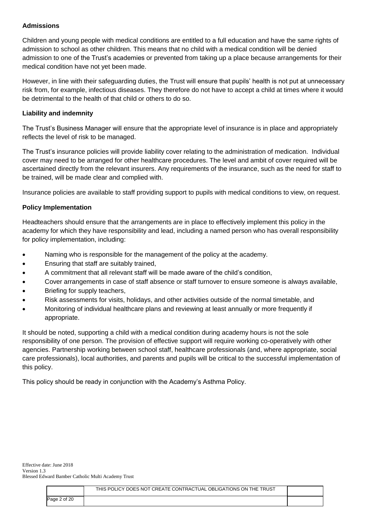# **Admissions**

Children and young people with medical conditions are entitled to a full education and have the same rights of admission to school as other children. This means that no child with a medical condition will be denied admission to one of the Trust's academies or prevented from taking up a place because arrangements for their medical condition have not yet been made.

However, in line with their safeguarding duties, the Trust will ensure that pupils' health is not put at unnecessary risk from, for example, infectious diseases. They therefore do not have to accept a child at times where it would be detrimental to the health of that child or others to do so.

#### **Liability and indemnity**

The Trust's Business Manager will ensure that the appropriate level of insurance is in place and appropriately reflects the level of risk to be managed.

The Trust's insurance policies will provide liability cover relating to the administration of medication. Individual cover may need to be arranged for other healthcare procedures. The level and ambit of cover required will be ascertained directly from the relevant insurers. Any requirements of the insurance, such as the need for staff to be trained, will be made clear and complied with.

Insurance policies are available to staff providing support to pupils with medical conditions to view, on request.

## **Policy Implementation**

Headteachers should ensure that the arrangements are in place to effectively implement this policy in the academy for which they have responsibility and lead, including a named person who has overall responsibility for policy implementation, including:

- Naming who is responsible for the management of the policy at the academy.
- **Ensuring that staff are suitably trained,**
- A commitment that all relevant staff will be made aware of the child's condition,
- Cover arrangements in case of staff absence or staff turnover to ensure someone is always available,
- Briefing for supply teachers,
- Risk assessments for visits, holidays, and other activities outside of the normal timetable, and
- Monitoring of individual healthcare plans and reviewing at least annually or more frequently if appropriate.

It should be noted, supporting a child with a medical condition during academy hours is not the sole responsibility of one person. The provision of effective support will require working co-operatively with other agencies. Partnership working between school staff, healthcare professionals (and, where appropriate, social care professionals), local authorities, and parents and pupils will be critical to the successful implementation of this policy.

This policy should be ready in conjunction with the Academy's Asthma Policy.

|              | THIS POLICY DOES NOT CREATE CONTRACTUAL OBLIGATIONS ON THE TRUST |  |
|--------------|------------------------------------------------------------------|--|
| Page 2 of 20 |                                                                  |  |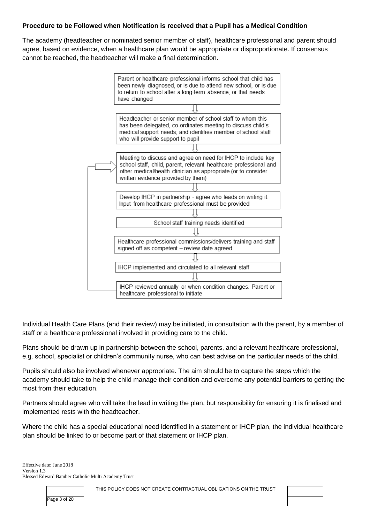# **Procedure to be Followed when Notification is received that a Pupil has a Medical Condition**

The academy (headteacher or nominated senior member of staff), healthcare professional and parent should agree, based on evidence, when a healthcare plan would be appropriate or disproportionate. If consensus cannot be reached, the headteacher will make a final determination.



Individual Health Care Plans (and their review) may be initiated, in consultation with the parent, by a member of staff or a healthcare professional involved in providing care to the child.

Plans should be drawn up in partnership between the school, parents, and a relevant healthcare professional, e.g. school, specialist or children's community nurse, who can best advise on the particular needs of the child.

Pupils should also be involved whenever appropriate. The aim should be to capture the steps which the academy should take to help the child manage their condition and overcome any potential barriers to getting the most from their education.

Partners should agree who will take the lead in writing the plan, but responsibility for ensuring it is finalised and implemented rests with the headteacher.

Where the child has a special educational need identified in a statement or IHCP plan, the individual healthcare plan should be linked to or become part of that statement or IHCP plan.

|              | THIS POLICY DOES NOT CREATE CONTRACTUAL OBLIGATIONS ON THE TRUST |  |
|--------------|------------------------------------------------------------------|--|
| Page 3 of 20 |                                                                  |  |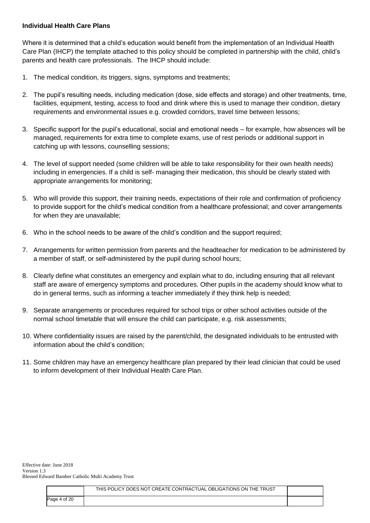## **Individual Health Care Plans**

Where it is determined that a child's education would benefit from the implementation of an Individual Health Care Plan (IHCP) the template attached to this policy should be completed in partnership with the child, child's parents and health care professionals. The IHCP should include:

- 1. The medical condition, its triggers, signs, symptoms and treatments;
- 2. The pupil's resulting needs, including medication (dose, side effects and storage) and other treatments, time, facilities, equipment, testing, access to food and drink where this is used to manage their condition, dietary requirements and environmental issues e.g. crowded corridors, travel time between lessons;
- 3. Specific support for the pupil's educational, social and emotional needs for example, how absences will be managed, requirements for extra time to complete exams, use of rest periods or additional support in catching up with lessons, counselling sessions;
- 4. The level of support needed (some children will be able to take responsibility for their own health needs) including in emergencies. If a child is self- managing their medication, this should be clearly stated with appropriate arrangements for monitoring;
- 5. Who will provide this support, their training needs, expectations of their role and confirmation of proficiency to provide support for the child's medical condition from a healthcare professional; and cover arrangements for when they are unavailable;
- 6. Who in the school needs to be aware of the child's condition and the support required;
- 7. Arrangements for written permission from parents and the headteacher for medication to be administered by a member of staff, or self-administered by the pupil during school hours;
- 8. Clearly define what constitutes an emergency and explain what to do, including ensuring that all relevant staff are aware of emergency symptoms and procedures. Other pupils in the academy should know what to do in general terms, such as informing a teacher immediately if they think help is needed;
- 9. Separate arrangements or procedures required for school trips or other school activities outside of the normal school timetable that will ensure the child can participate, e.g. risk assessments;
- 10. Where confidentiality issues are raised by the parent/child, the designated individuals to be entrusted with information about the child's condition;
- 11. Some children may have an emergency healthcare plan prepared by their lead clinician that could be used to inform development of their Individual Health Care Plan.

|              | THIS POLICY DOES NOT CREATE CONTRACTUAL OBLIGATIONS ON THE TRUST |  |
|--------------|------------------------------------------------------------------|--|
| Page 4 of 20 |                                                                  |  |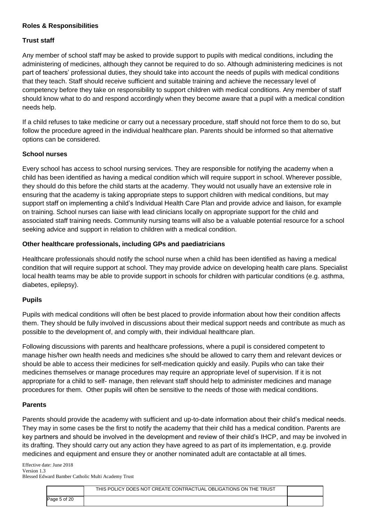# **Roles & Responsibilities**

#### **Trust staff**

Any member of school staff may be asked to provide support to pupils with medical conditions, including the administering of medicines, although they cannot be required to do so. Although administering medicines is not part of teachers' professional duties, they should take into account the needs of pupils with medical conditions that they teach. Staff should receive sufficient and suitable training and achieve the necessary level of competency before they take on responsibility to support children with medical conditions. Any member of staff should know what to do and respond accordingly when they become aware that a pupil with a medical condition needs help.

If a child refuses to take medicine or carry out a necessary procedure, staff should not force them to do so, but follow the procedure agreed in the individual healthcare plan. Parents should be informed so that alternative options can be considered.

## **School nurses**

Every school has access to school nursing services. They are responsible for notifying the academy when a child has been identified as having a medical condition which will require support in school. Wherever possible, they should do this before the child starts at the academy. They would not usually have an extensive role in ensuring that the academy is taking appropriate steps to support children with medical conditions, but may support staff on implementing a child's Individual Health Care Plan and provide advice and liaison, for example on training. School nurses can liaise with lead clinicians locally on appropriate support for the child and associated staff training needs. Community nursing teams will also be a valuable potential resource for a school seeking advice and support in relation to children with a medical condition.

## **Other healthcare professionals, including GPs and paediatricians**

Healthcare professionals should notify the school nurse when a child has been identified as having a medical condition that will require support at school. They may provide advice on developing health care plans. Specialist local health teams may be able to provide support in schools for children with particular conditions (e.g. asthma, diabetes, epilepsy).

#### **Pupils**

Pupils with medical conditions will often be best placed to provide information about how their condition affects them. They should be fully involved in discussions about their medical support needs and contribute as much as possible to the development of, and comply with, their individual healthcare plan.

Following discussions with parents and healthcare professions, where a pupil is considered competent to manage his/her own health needs and medicines s/he should be allowed to carry them and relevant devices or should be able to access their medicines for self-medication quickly and easily. Pupils who can take their medicines themselves or manage procedures may require an appropriate level of supervision. If it is not appropriate for a child to self- manage, then relevant staff should help to administer medicines and manage procedures for them. Other pupils will often be sensitive to the needs of those with medical conditions.

## **Parents**

Parents should provide the academy with sufficient and up-to-date information about their child's medical needs. They may in some cases be the first to notify the academy that their child has a medical condition. Parents are key partners and should be involved in the development and review of their child's IHCP, and may be involved in its drafting. They should carry out any action they have agreed to as part of its implementation, e.g. provide medicines and equipment and ensure they or another nominated adult are contactable at all times.

|              | THIS POLICY DOES NOT CREATE CONTRACTUAL OBLIGATIONS ON THE TRUST |  |
|--------------|------------------------------------------------------------------|--|
| Page 5 of 20 |                                                                  |  |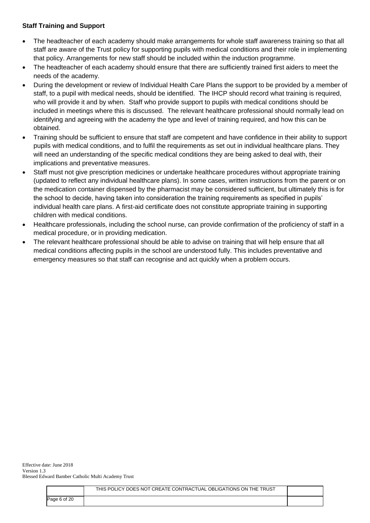# **Staff Training and Support**

- The headteacher of each academy should make arrangements for whole staff awareness training so that all staff are aware of the Trust policy for supporting pupils with medical conditions and their role in implementing that policy. Arrangements for new staff should be included within the induction programme.
- The headteacher of each academy should ensure that there are sufficiently trained first aiders to meet the needs of the academy.
- During the development or review of Individual Health Care Plans the support to be provided by a member of staff, to a pupil with medical needs, should be identified. The IHCP should record what training is required, who will provide it and by when. Staff who provide support to pupils with medical conditions should be included in meetings where this is discussed. The relevant healthcare professional should normally lead on identifying and agreeing with the academy the type and level of training required, and how this can be obtained.
- Training should be sufficient to ensure that staff are competent and have confidence in their ability to support pupils with medical conditions, and to fulfil the requirements as set out in individual healthcare plans. They will need an understanding of the specific medical conditions they are being asked to deal with, their implications and preventative measures.
- Staff must not give prescription medicines or undertake healthcare procedures without appropriate training (updated to reflect any individual healthcare plans). In some cases, written instructions from the parent or on the medication container dispensed by the pharmacist may be considered sufficient, but ultimately this is for the school to decide, having taken into consideration the training requirements as specified in pupils' individual health care plans. A first-aid certificate does not constitute appropriate training in supporting children with medical conditions.
- Healthcare professionals, including the school nurse, can provide confirmation of the proficiency of staff in a medical procedure, or in providing medication.
- The relevant healthcare professional should be able to advise on training that will help ensure that all medical conditions affecting pupils in the school are understood fully. This includes preventative and emergency measures so that staff can recognise and act quickly when a problem occurs.

|              | THIS POLICY DOES NOT CREATE CONTRACTUAL OBLIGATIONS ON THE TRUST |  |
|--------------|------------------------------------------------------------------|--|
| Page 6 of 20 |                                                                  |  |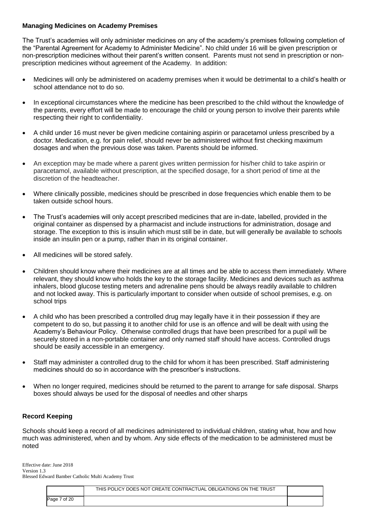### **Managing Medicines on Academy Premises**

The Trust's academies will only administer medicines on any of the academy's premises following completion of the "Parental Agreement for Academy to Administer Medicine". No child under 16 will be given prescription or non-prescription medicines without their parent's written consent. Parents must not send in prescription or nonprescription medicines without agreement of the Academy. In addition:

- Medicines will only be administered on academy premises when it would be detrimental to a child's health or school attendance not to do so.
- In exceptional circumstances where the medicine has been prescribed to the child without the knowledge of the parents, every effort will be made to encourage the child or young person to involve their parents while respecting their right to confidentiality.
- A child under 16 must never be given medicine containing aspirin or paracetamol unless prescribed by a doctor. Medication, e.g. for pain relief, should never be administered without first checking maximum dosages and when the previous dose was taken. Parents should be informed.
- An exception may be made where a parent gives written permission for his/her child to take aspirin or paracetamol, available without prescription, at the specified dosage, for a short period of time at the discretion of the headteacher.
- Where clinically possible, medicines should be prescribed in dose frequencies which enable them to be taken outside school hours.
- The Trust's academies will only accept prescribed medicines that are in-date, labelled, provided in the original container as dispensed by a pharmacist and include instructions for administration, dosage and storage. The exception to this is insulin which must still be in date, but will generally be available to schools inside an insulin pen or a pump, rather than in its original container.
- All medicines will be stored safely.
- Children should know where their medicines are at all times and be able to access them immediately. Where relevant, they should know who holds the key to the storage facility. Medicines and devices such as asthma inhalers, blood glucose testing meters and adrenaline pens should be always readily available to children and not locked away. This is particularly important to consider when outside of school premises, e.g. on school trips
- A child who has been prescribed a controlled drug may legally have it in their possession if they are competent to do so, but passing it to another child for use is an offence and will be dealt with using the Academy's Behaviour Policy. Otherwise controlled drugs that have been prescribed for a pupil will be securely stored in a non-portable container and only named staff should have access. Controlled drugs should be easily accessible in an emergency.
- Staff may administer a controlled drug to the child for whom it has been prescribed. Staff administering medicines should do so in accordance with the prescriber's instructions.
- When no longer required, medicines should be returned to the parent to arrange for safe disposal. Sharps boxes should always be used for the disposal of needles and other sharps

#### **Record Keeping**

Schools should keep a record of all medicines administered to individual children, stating what, how and how much was administered, when and by whom. Any side effects of the medication to be administered must be noted

|                 | THIS POLICY DOES NOT CREATE CONTRACTUAL OBLIGATIONS ON THE TRUST |  |
|-----------------|------------------------------------------------------------------|--|
| 7 of 20<br>Page |                                                                  |  |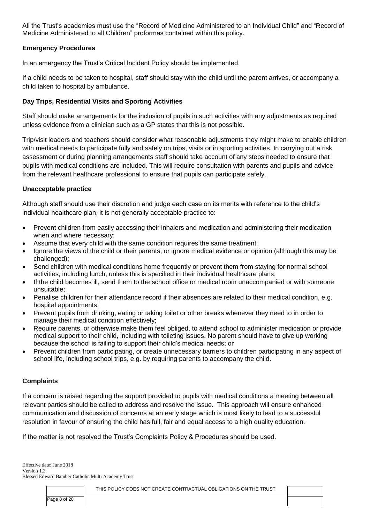All the Trust's academies must use the "Record of Medicine Administered to an Individual Child" and "Record of Medicine Administered to all Children" proformas contained within this policy.

## **Emergency Procedures**

In an emergency the Trust's Critical Incident Policy should be implemented.

If a child needs to be taken to hospital, staff should stay with the child until the parent arrives, or accompany a child taken to hospital by ambulance.

## **Day Trips, Residential Visits and Sporting Activities**

Staff should make arrangements for the inclusion of pupils in such activities with any adjustments as required unless evidence from a clinician such as a GP states that this is not possible.

Trip/visit leaders and teachers should consider what reasonable adjustments they might make to enable children with medical needs to participate fully and safely on trips, visits or in sporting activities. In carrying out a risk assessment or during planning arrangements staff should take account of any steps needed to ensure that pupils with medical conditions are included. This will require consultation with parents and pupils and advice from the relevant healthcare professional to ensure that pupils can participate safely.

## **Unacceptable practice**

Although staff should use their discretion and judge each case on its merits with reference to the child's individual healthcare plan, it is not generally acceptable practice to:

- Prevent children from easily accessing their inhalers and medication and administering their medication when and where necessary;
- Assume that every child with the same condition requires the same treatment;
- Ignore the views of the child or their parents; or ignore medical evidence or opinion (although this may be challenged);
- Send children with medical conditions home frequently or prevent them from staying for normal school activities, including lunch, unless this is specified in their individual healthcare plans;
- If the child becomes ill, send them to the school office or medical room unaccompanied or with someone unsuitable;
- Penalise children for their attendance record if their absences are related to their medical condition, e.g. hospital appointments;
- Prevent pupils from drinking, eating or taking toilet or other breaks whenever they need to in order to manage their medical condition effectively;
- Require parents, or otherwise make them feel obliged, to attend school to administer medication or provide medical support to their child, including with toileting issues. No parent should have to give up working because the school is failing to support their child's medical needs; or
- Prevent children from participating, or create unnecessary barriers to children participating in any aspect of school life, including school trips, e.g. by requiring parents to accompany the child.

#### **Complaints**

If a concern is raised regarding the support provided to pupils with medical conditions a meeting between all relevant parties should be called to address and resolve the issue. This approach will ensure enhanced communication and discussion of concerns at an early stage which is most likely to lead to a successful resolution in favour of ensuring the child has full, fair and equal access to a high quality education.

If the matter is not resolved the Trust's Complaints Policy & Procedures should be used.

|              | THIS POLICY DOES NOT CREATE CONTRACTUAL OBLIGATIONS ON THE TRUST |  |
|--------------|------------------------------------------------------------------|--|
| Page 8 of 20 |                                                                  |  |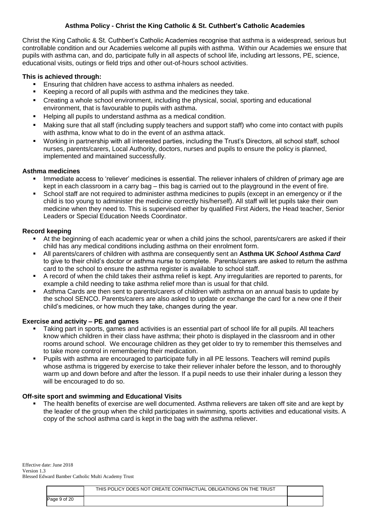# **Asthma Policy - Christ the King Catholic & St. Cuthbert's Catholic Academies**

Christ the King Catholic & St. Cuthbert's Catholic Academies recognise that asthma is a widespread, serious but controllable condition and our Academies welcome all pupils with asthma. Within our Academies we ensure that pupils with asthma can, and do, participate fully in all aspects of school life, including art lessons, PE, science, educational visits, outings or field trips and other out-of-hours school activities.

## **This is achieved through:**

- Ensuring that children have access to asthma inhalers as needed.
- Keeping a record of all pupils with asthma and the medicines they take.
- Creating a whole school environment, including the physical, social, sporting and educational environment, that is favourable to pupils with asthma.
- Helping all pupils to understand asthma as a medical condition.
- Making sure that all staff (including supply teachers and support staff) who come into contact with pupils with asthma, know what to do in the event of an asthma attack.
- Working in partnership with all interested parties, including the Trust's Directors, all school staff, school nurses, parents/carers, Local Authority, doctors, nurses and pupils to ensure the policy is planned, implemented and maintained successfully.

## **Asthma medicines**

- Immediate access to 'reliever' medicines is essential. The reliever inhalers of children of primary age are kept in each classroom in a carry bag – this bag is carried out to the playground in the event of fire.
- School staff are not required to administer asthma medicines to pupils (except in an emergency or if the child is too young to administer the medicine correctly his/herself). All staff will let pupils take their own medicine when they need to. This is supervised either by qualified First Aiders, the Head teacher, Senior Leaders or Special Education Needs Coordinator.

## **Record keeping**

- At the beginning of each academic year or when a child joins the school, parents/carers are asked if their child has any medical conditions including asthma on their enrolment form.
- All parents/carers of children with asthma are consequently sent an **Asthma UK** *School Asthma Card* to give to their child's doctor or asthma nurse to complete. Parents/carers are asked to return the asthma card to the school to ensure the asthma register is available to school staff.
- A record of when the child takes their asthma relief is kept. Any irregularities are reported to parents, for example a child needing to take asthma relief more than is usual for that child.
- Asthma Cards are then sent to parents/carers of children with asthma on an annual basis to update by the school SENCO. Parents/carers are also asked to update or exchange the card for a new one if their child's medicines, or how much they take, changes during the year.

# **Exercise and activity – PE and games**

- Taking part in sports, games and activities is an essential part of school life for all pupils. All teachers know which children in their class have asthma; their photo is displayed in the classroom and in other rooms around school. We encourage children as they get older to try to remember this themselves and to take more control in remembering their medication.
- Pupils with asthma are encouraged to participate fully in all PE lessons. Teachers will remind pupils whose asthma is triggered by exercise to take their reliever inhaler before the lesson, and to thoroughly warm up and down before and after the lesson. If a pupil needs to use their inhaler during a lesson they will be encouraged to do so.

#### **Off-site sport and swimming and Educational Visits**

 The health benefits of exercise are well documented. Asthma relievers are taken off site and are kept by the leader of the group when the child participates in swimming, sports activities and educational visits. A copy of the school asthma card is kept in the bag with the asthma reliever.

|              | THIS POLICY DOES NOT CREATE CONTRACTUAL OBLIGATIONS ON THE TRUST |  |
|--------------|------------------------------------------------------------------|--|
| Page 9 of 20 |                                                                  |  |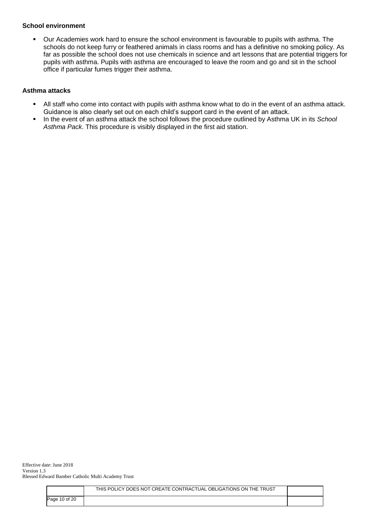#### **School environment**

 Our Academies work hard to ensure the school environment is favourable to pupils with asthma. The schools do not keep furry or feathered animals in class rooms and has a definitive no smoking policy. As far as possible the school does not use chemicals in science and art lessons that are potential triggers for pupils with asthma. Pupils with asthma are encouraged to leave the room and go and sit in the school office if particular fumes trigger their asthma.

# **Asthma attacks**

- All staff who come into contact with pupils with asthma know what to do in the event of an asthma attack. Guidance is also clearly set out on each child's support card in the event of an attack.
- In the event of an asthma attack the school follows the procedure outlined by Asthma UK in its *School Asthma Pack*. This procedure is visibly displayed in the first aid station.

|               | THIS POLICY DOES NOT CREATE CONTRACTUAL OBLIGATIONS ON THE TRUST |  |
|---------------|------------------------------------------------------------------|--|
| Page 10 of 20 |                                                                  |  |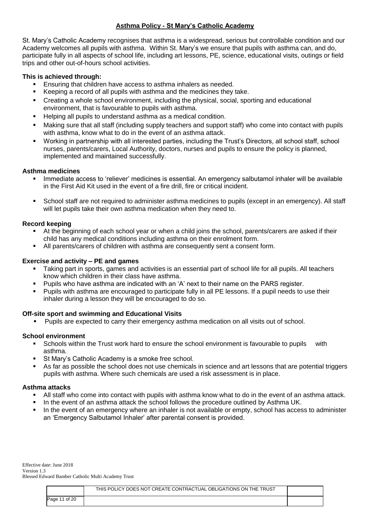# **Asthma Policy - St Mary's Catholic Academy**

St. Mary's Catholic Academy recognises that asthma is a widespread, serious but controllable condition and our Academy welcomes all pupils with asthma. Within St. Mary's we ensure that pupils with asthma can, and do, participate fully in all aspects of school life, including art lessons, PE, science, educational visits, outings or field trips and other out-of-hours school activities.

# **This is achieved through:**

- Ensuring that children have access to asthma inhalers as needed.
- Keeping a record of all pupils with asthma and the medicines they take.
- Creating a whole school environment, including the physical, social, sporting and educational environment, that is favourable to pupils with asthma.
- Helping all pupils to understand asthma as a medical condition.
- Making sure that all staff (including supply teachers and support staff) who come into contact with pupils with asthma, know what to do in the event of an asthma attack.
- Working in partnership with all interested parties, including the Trust's Directors, all school staff, school nurses, parents/carers, Local Authority, doctors, nurses and pupils to ensure the policy is planned, implemented and maintained successfully.

## **Asthma medicines**

- Immediate access to 'reliever' medicines is essential. An emergency salbutamol inhaler will be available in the First Aid Kit used in the event of a fire drill, fire or critical incident.
- School staff are not required to administer asthma medicines to pupils (except in an emergency). All staff will let pupils take their own asthma medication when they need to.

# **Record keeping**

- At the beginning of each school year or when a child joins the school, parents/carers are asked if their child has any medical conditions including asthma on their enrolment form.
- All parents/carers of children with asthma are consequently sent a consent form.

#### **Exercise and activity – PE and games**

- Taking part in sports, games and activities is an essential part of school life for all pupils. All teachers know which children in their class have asthma.
- Pupils who have asthma are indicated with an 'A' next to their name on the PARS register.
- Pupils with asthma are encouraged to participate fully in all PE lessons. If a pupil needs to use their inhaler during a lesson they will be encouraged to do so.

#### **Off-site sport and swimming and Educational Visits**

Pupils are expected to carry their emergency asthma medication on all visits out of school.

#### **School environment**

- Schools within the Trust work hard to ensure the school environment is favourable to pupils with asthma.
- **St Mary's Catholic Academy is a smoke free school.**
- As far as possible the school does not use chemicals in science and art lessons that are potential triggers pupils with asthma. Where such chemicals are used a risk assessment is in place.

#### **Asthma attacks**

- All staff who come into contact with pupils with asthma know what to do in the event of an asthma attack.
- In the event of an asthma attack the school follows the procedure outlined by Asthma UK.
- In the event of an emergency where an inhaler is not available or empty, school has access to administer an 'Emergency Salbutamol Inhaler' after parental consent is provided.

|                             | THIS POLICY DOES NOT CREATE CONTRACTUAL OBLIGATIONS ON THE TRUST |  |
|-----------------------------|------------------------------------------------------------------|--|
| $^{\circ}$ of 20<br>Page 11 |                                                                  |  |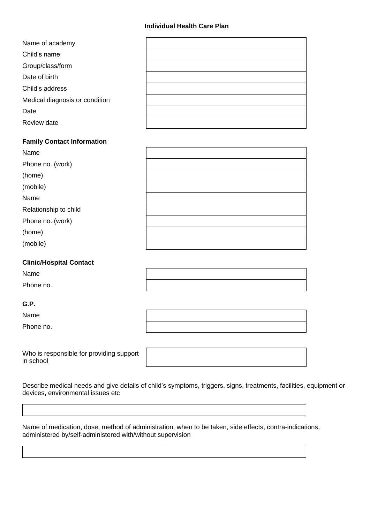#### **Individual Health Care Plan**

| Name of academy                |  |
|--------------------------------|--|
| Child's name                   |  |
| Group/class/form               |  |
| Date of birth                  |  |
| Child's address                |  |
| Medical diagnosis or condition |  |
| Date                           |  |
| Review date                    |  |

#### **Family Contact Information**

| Name                  |  |
|-----------------------|--|
| Phone no. (work)      |  |
| (home)                |  |
| (mobile)              |  |
| Name                  |  |
| Relationship to child |  |
| Phone no. (work)      |  |
| (home)                |  |
| (mobile)              |  |

## **Clinic/Hospital Contact**

Name

Phone no.

# **G.P.**

Name

Phone no.

Who is responsible for providing support in school

Describe medical needs and give details of child's symptoms, triggers, signs, treatments, facilities, equipment or devices, environmental issues etc

Name of medication, dose, method of administration, when to be taken, side effects, contra-indications, administered by/self-administered with/without supervision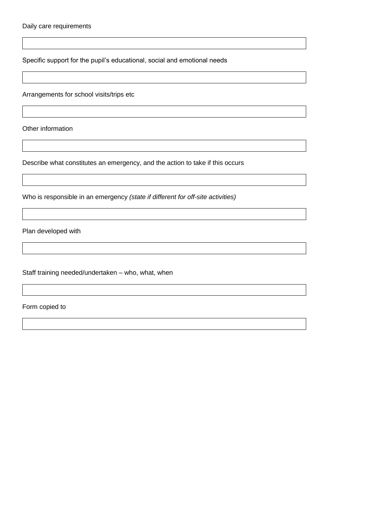Specific support for the pupil's educational, social and emotional needs

Arrangements for school visits/trips etc

Other information

Describe what constitutes an emergency, and the action to take if this occurs

Who is responsible in an emergency *(state if different for off-site activities)*

Plan developed with

Staff training needed/undertaken – who, what, when

Form copied to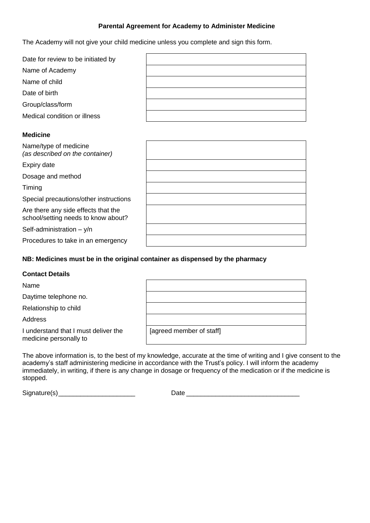# **Parental Agreement for Academy to Administer Medicine**

The Academy will not give your child medicine unless you complete and sign this form.

| Date for review to be initiated by |  |
|------------------------------------|--|
| Name of Academy                    |  |
| Name of child                      |  |
| Date of birth                      |  |
| Group/class/form                   |  |
| Medical condition or illness       |  |

## **Medicine**

| Name/type of medicine<br>(as described on the container)                   |  |
|----------------------------------------------------------------------------|--|
| Expiry date                                                                |  |
| Dosage and method                                                          |  |
| Timing                                                                     |  |
| Special precautions/other instructions                                     |  |
| Are there any side effects that the<br>school/setting needs to know about? |  |
| Self-administration - y/n                                                  |  |
| Procedures to take in an emergency                                         |  |

## **NB: Medicines must be in the original container as dispensed by the pharmacy**

#### **Contact Details**

| Name |  |  |
|------|--|--|
|      |  |  |

Daytime telephone no.

Relationship to child

Address

I understand that I must deliver the medicine personally to

| [agreed member of staff] |  |
|--------------------------|--|

The above information is, to the best of my knowledge, accurate at the time of writing and I give consent to the academy's staff administering medicine in accordance with the Trust's policy. I will inform the academy immediately, in writing, if there is any change in dosage or frequency of the medication or if the medicine is stopped.

 $Signature(s)$  Defined by  $\Box$ 

| <b>Date</b> |  |
|-------------|--|
|             |  |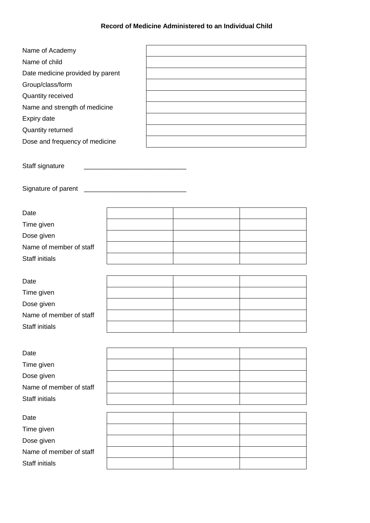# **Record of Medicine Administered to an Individual Child**

| Name of Academy                  |  |  |
|----------------------------------|--|--|
| Name of child                    |  |  |
| Date medicine provided by parent |  |  |
| Group/class/form                 |  |  |
| Quantity received                |  |  |
| Name and strength of medicine    |  |  |
| Expiry date                      |  |  |
| Quantity returned                |  |  |
| Dose and frequency of medicine   |  |  |
|                                  |  |  |
| Staff signature                  |  |  |
| Signature of parent              |  |  |
| Date                             |  |  |
| Time given                       |  |  |
| Dose given                       |  |  |
| Name of member of staff          |  |  |
| <b>Staff initials</b>            |  |  |
| Date                             |  |  |
| Time given                       |  |  |
| Dose given                       |  |  |
| Name of member of staff          |  |  |
| Staff initials                   |  |  |
|                                  |  |  |
| Date                             |  |  |
| Time given                       |  |  |
| Dose given                       |  |  |
| Name of member of staff          |  |  |
| Staff initials                   |  |  |
| Date                             |  |  |
| Time given                       |  |  |
| Dose given                       |  |  |
| Name of member of staff          |  |  |
| <b>Staff initials</b>            |  |  |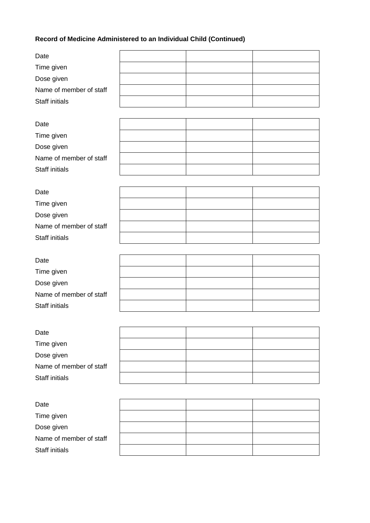# **Record of Medicine Administered to an Individual Child (Continued)**

| Date                    |  |  |
|-------------------------|--|--|
| Time given              |  |  |
| Dose given              |  |  |
| Name of member of staff |  |  |
| <b>Staff initials</b>   |  |  |
|                         |  |  |
| Date                    |  |  |
| Time given              |  |  |
| Dose given              |  |  |
| Name of member of staff |  |  |
| <b>Staff initials</b>   |  |  |
|                         |  |  |
| Date                    |  |  |
| Time given              |  |  |
| Dose given              |  |  |
| Name of member of staff |  |  |
| <b>Staff initials</b>   |  |  |
|                         |  |  |
| Date                    |  |  |
| Time given              |  |  |
| Dose given              |  |  |
| Name of member of staff |  |  |
| <b>Staff initials</b>   |  |  |
|                         |  |  |
| Date                    |  |  |
| Time given              |  |  |
| Dose given              |  |  |
| Name of member of staff |  |  |
| <b>Staff initials</b>   |  |  |
|                         |  |  |
| Date                    |  |  |
| Time given              |  |  |
| Dose given              |  |  |
| Name of member of staff |  |  |
|                         |  |  |
| Staff initials          |  |  |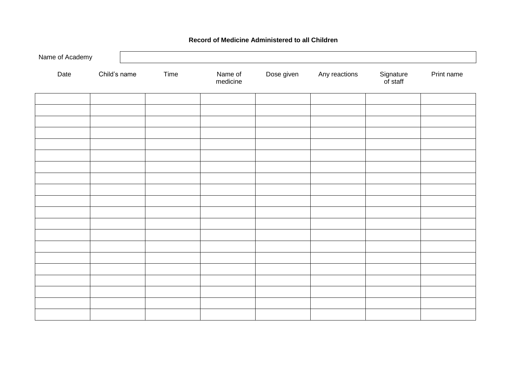| Name of Academy |              |      |                     |            |               |                       |            |
|-----------------|--------------|------|---------------------|------------|---------------|-----------------------|------------|
| Date            | Child's name | Time | Name of<br>medicine | Dose given | Any reactions | Signature<br>of staff | Print name |
|                 |              |      |                     |            |               |                       |            |
|                 |              |      |                     |            |               |                       |            |
|                 |              |      |                     |            |               |                       |            |
|                 |              |      |                     |            |               |                       |            |
|                 |              |      |                     |            |               |                       |            |
|                 |              |      |                     |            |               |                       |            |
|                 |              |      |                     |            |               |                       |            |
|                 |              |      |                     |            |               |                       |            |
|                 |              |      |                     |            |               |                       |            |
|                 |              |      |                     |            |               |                       |            |
|                 |              |      |                     |            |               |                       |            |
|                 |              |      |                     |            |               |                       |            |
|                 |              |      |                     |            |               |                       |            |
|                 |              |      |                     |            |               |                       |            |
|                 |              |      |                     |            |               |                       |            |
|                 |              |      |                     |            |               |                       |            |
|                 |              |      |                     |            |               |                       |            |

# **Record of Medicine Administered to all Children**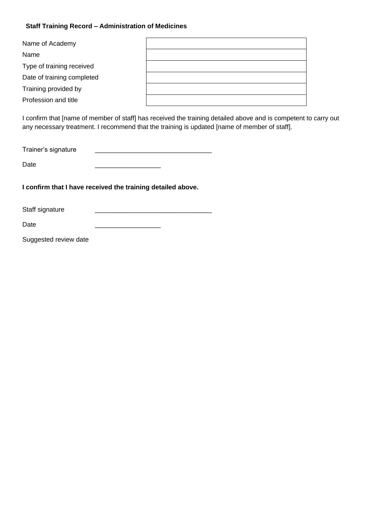# **Staff Training Record – Administration of Medicines**

| Name of Academy            |  |
|----------------------------|--|
| Name                       |  |
| Type of training received  |  |
| Date of training completed |  |
| Training provided by       |  |
| Profession and title       |  |

I confirm that [name of member of staff] has received the training detailed above and is competent to carry out any necessary treatment. I recommend that the training is updated [name of member of staff].

| Trainer's signature |  |
|---------------------|--|
|                     |  |

**I confirm that I have received the training detailed above.**

Staff signature

Date \_\_\_\_\_\_\_\_\_\_\_\_\_\_\_\_\_\_

Suggested review date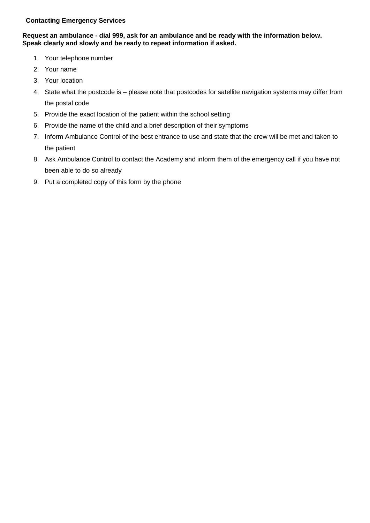# **Contacting Emergency Services**

# **Request an ambulance - dial 999, ask for an ambulance and be ready with the information below. Speak clearly and slowly and be ready to repeat information if asked.**

- 1. Your telephone number
- 2. Your name
- 3. Your location
- 4. State what the postcode is please note that postcodes for satellite navigation systems may differ from the postal code
- 5. Provide the exact location of the patient within the school setting
- 6. Provide the name of the child and a brief description of their symptoms
- 7. Inform Ambulance Control of the best entrance to use and state that the crew will be met and taken to the patient
- 8. Ask Ambulance Control to contact the Academy and inform them of the emergency call if you have not been able to do so already
- 9. Put a completed copy of this form by the phone